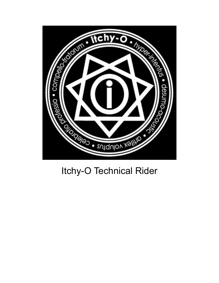

# Itchy-O Technical Rider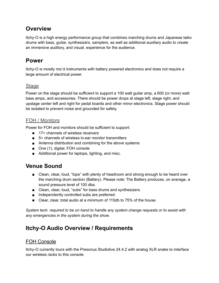# **Overview**

Itchy-O is a high energy performance group that combines marching drums and Japanese taiko drums with bass, guitar, synthesizers, samplers, as well as additional auxiliary audio to create an immersive auditory, and visual, experience for the audience.

# **Power**

Itchy-O is mostly mic'd instruments with battery powered electronics and does not require a large amount of electrical power.

## Stage

Power on the stage should be sufficient to support a 100 watt guitar amp, a 600 (or more) watt bass amps, and accessories. There should be power drops at stage left, stage right, and upstage center left and right for pedal boards and other minor electronics. Stage power should be isolated to prevent noise and grounded for safety.

## FOH / Monitors

Power for FOH and monitors should be sufficient to support:

- 17+ channels of wireless receivers
- 5<sup>+</sup> channels of wireless in-ear monitor transmitters
- Antenna distribution and combining for the above systems
- One (1), digital, FOH console
- Additional power for laptops, lighting, and misc.

# **Venue Sound**

- Clean, clear, loud, "tops" with plenty of headroom and strong enough to be heard over the marching drum section (Battery). Please note: The Battery produces, on average, a sound pressure level of 100 dba.
- Clean, clear, loud, "subs" for bass drums and synthesizers.
- Independently controlled subs are preferred.
- Clear, clear, total audio at a minimum of 115db to 75% of the house.

*System tech. required to be on hand to handle any system change requests or to assist with any emergencies in the system during the show.* 

# **Itchy-O Audio Overview / Requirements**

## FOH Console

Itchy-O currently tours with the Presonus Studiolive 24.4.2 with analog XLR snake to interface our wireless racks to this console.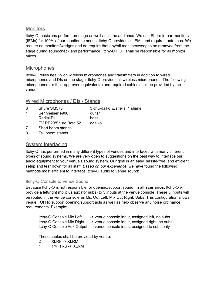#### **Monitors**

Itchy-O musicians perform on-stage as well as in the audience. We use Shure in-ear-monitors (IEMs) for 100% of our monitoring needs. Itchy-O provides all IEMs and required antennas. We require no monitors/wedges and do require that any/all monitors/wedges be removed from the stage during soundcheck and performance. Itchy-O FOH shall be responsible for all monitor mixes.

#### **Microphones**

Itchy-O relies heavily on wireless microphones and transmitters in addition to wired microphones and DIs on the stage. Itchy-O provides all wireless microphones. The following microphones (or their approved equivalents) and required cables shall be provided by the venue.

#### Wired Microphones / DIs / Stands

- 6 Shure SM573 3 chu-daiko w/shells, 1 shime
- 1 Sennheiser e906 guitar
- 1 Radial DI bass
	-
- 1 EV RE20/Shure Beta 52 odaiko
- 7 Short boom stands 3 Tall boom stands

#### System Interfacing

Itchy-O has performed in many different types of venues and interfaced with many different types of sound systems. We are very open to suggestions on the best way to interface our audio equipment to your venue's sound system. Our goal is an easy, hassle-free, and efficient setup and tear down for all staff. *Based on our experience*, we have found the following methods most efficient to interface Itchy-O audio to venue sound:

#### Itchy-O Console to Venue Sound

Because Itchy-O is not responsible for opening/support sound, **in all scenarios**, Itchy-O will provide a left/right mix plus aux (for subs) to 3 inputs at the venue console. These 3 inputs will be routed in the venue console as Mix Out Left, Mix Out Right, Subs. This configuration allows venue FOH to support opening/support acts as well as help observe any noise ordinance requirements. Example:

| Itchy-O Console Mix Left  | -> venue console input, assigned left, no subs                           |
|---------------------------|--------------------------------------------------------------------------|
| Itchy-O Console Mix Right | -> venue console input, assigned right, no subs                          |
|                           | Itchy-O Console Aux Output -> venue console input, assigned to subs only |

These cables shall be provided by venue:

- 2 XLRF -> XLRM
- 1 1/4" TRS -> XLRM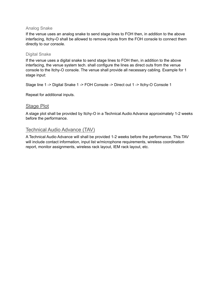#### Analog Snake

If the venue uses an analog snake to send stage lines to FOH then, in addition to the above interfacing, Itchy-O shall be allowed to remove inputs from the FOH console to connect them directly to our console.

#### Digital Snake

If the venue uses a digital snake to send stage lines to FOH then, in addition to the above interfacing, the venue system tech. shall configure the lines as direct outs from the venue console to the Itchy-O console. The venue shall provide all necessary cabling. Example for 1 stage input:

Stage line 1 -> Digital Snake 1 -> FOH Console -> Direct out 1 -> Itchy-O Console 1

Repeat for additional inputs.

#### Stage Plot

A stage plot shall be provided by Itchy-O in a Technical Audio Advance approximately 1-2 weeks before the performance.

#### Technical Audio Advance (TAV)

A Technical Audio Advance will shall be provided 1-2 weeks before the performance. This TAV will include contact information, input list w/microphone requirements, wireless coordination report, monitor assignments, wireless rack layout, IEM rack layout, etc.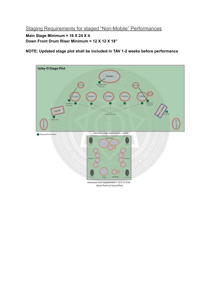# Staging Requirements for staged "Non-Mobile" Performances

#### **Main Stage Minimum = 16 X 24 X 4 Down Front Drum Riser Minimum = 12 X 12 X 18"**

**NOTE: Updated stage plot shall be included in TAV 1-2 weeks before performance**